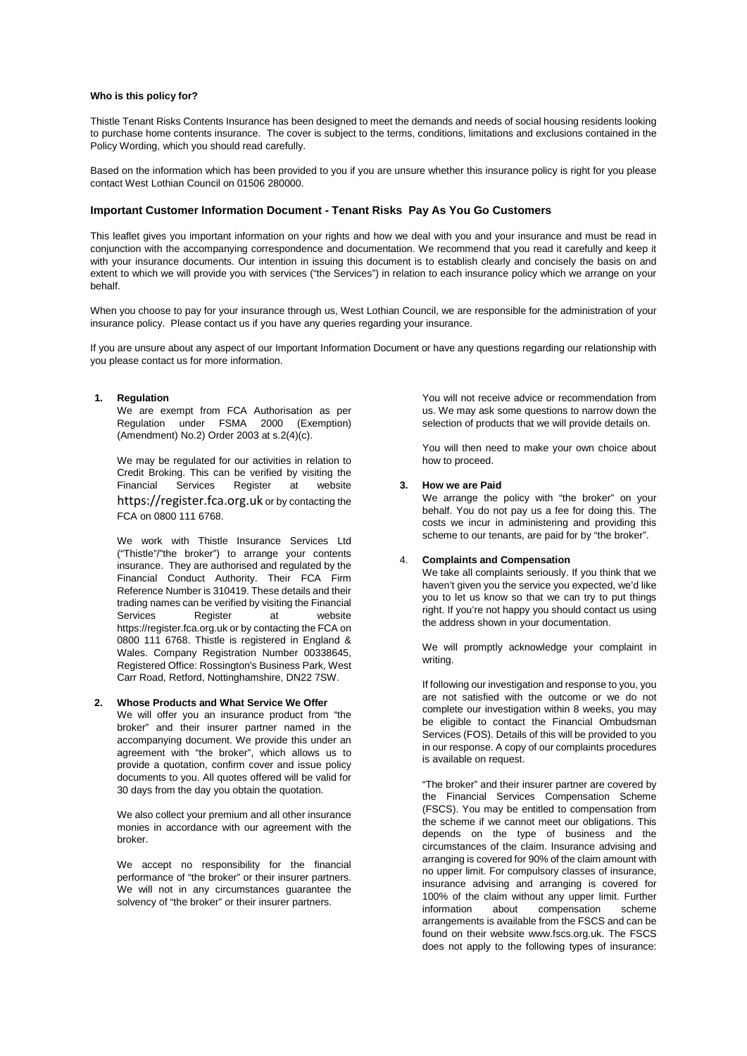#### **Who is this policy for?**

Thistle Tenant Risks Contents Insurance has been designed to meet the demands and needs of social housing residents looking to purchase home contents insurance. The cover is subject to the terms, conditions, limitations and exclusions contained in the Policy Wording, which you should read carefully.

Based on the information which has been provided to you if you are unsure whether this insurance policy is right for you please contact West Lothian Council on 01506 280000.

### **Important Customer Information Document - Tenant Risks Pay As You Go Customers**

This leaflet gives you important information on your rights and how we deal with you and your insurance and must be read in conjunction with the accompanying correspondence and documentation. We recommend that you read it carefully and keep it with your insurance documents. Our intention in issuing this document is to establish clearly and concisely the basis on and extent to which we will provide you with services ("the Services") in relation to each insurance policy which we arrange on your behalf.

When you choose to pay for your insurance through us, West Lothian Council, we are responsible for the administration of your insurance policy. Please contact us if you have any queries regarding your insurance.

If you are unsure about any aspect of our Important Information Document or have any questions regarding our relationship with you please contact us for more information.

#### **1. Regulation**

We are exempt from FCA Authorisation as per Regulation under FSMA 2000 (Exemption) (Amendment) No.2) Order 2003 at s.2(4)(c).

We may be regulated for our activities in relation to Credit Broking. This can be verified by visiting the<br>Financial Services Register at website Financial Services Register at website [https://register.fca.org.uk](https://register.fca.org.uk/) or by contacting the FCA on 0800 111 6768.

We work with Thistle Insurance Services Ltd ("Thistle"/"the broker") to arrange your contents insurance. They are authorised and regulated by the Financial Conduct Authority. Their FCA Firm Reference Number is 310419. These details and their trading names can be verified by visiting the Financial Services Register at website https://register.fca.org.uk or by contacting the FCA on 0800 111 6768. Thistle is registered in England & Wales. Company Registration Number 00338645, Registered Office: Rossington's Business Park, West Carr Road, Retford, Nottinghamshire, DN22 7SW.

#### **2. Whose Products and What Service We Offer**

We will offer you an insurance product from "the broker" and their insurer partner named in the accompanying document. We provide this under an agreement with "the broker", which allows us to provide a quotation, confirm cover and issue policy documents to you. All quotes offered will be valid for 30 days from the day you obtain the quotation.

We also collect your premium and all other insurance monies in accordance with our agreement with the broker.

We accept no responsibility for the financial performance of "the broker" or their insurer partners. We will not in any circumstances guarantee the solvency of "the broker" or their insurer partners.

You will not receive advice or recommendation from us. We may ask some questions to narrow down the selection of products that we will provide details on.

You will then need to make your own choice about how to proceed.

### **3. How we are Paid**

We arrange the policy with "the broker" on your behalf. You do not pay us a fee for doing this. The costs we incur in administering and providing this scheme to our tenants, are paid for by "the broker".

### 4. **Complaints and Compensation**

We take all complaints seriously. If you think that we haven't given you the service you expected, we'd like you to let us know so that we can try to put things right. If you're not happy you should contact us using the address shown in your documentation.

We will promptly acknowledge your complaint in writing.

If following our investigation and response to you, you are not satisfied with the outcome or we do not complete our investigation within 8 weeks, you may be eligible to contact the Financial Ombudsman Services (FOS). Details of this will be provided to you in our response. A copy of our complaints procedures is available on request.

"The broker" and their insurer partner are covered by the Financial Services Compensation Scheme (FSCS). You may be entitled to compensation from the scheme if we cannot meet our obligations. This depends on the type of business and the circumstances of the claim. Insurance advising and arranging is covered for 90% of the claim amount with no upper limit. For compulsory classes of insurance, insurance advising and arranging is covered for 100% of the claim without any upper limit. Further information about compensation scheme arrangements is available from the FSCS and can be found on their website www.fscs.org.uk. The FSCS does not apply to the following types of insurance: